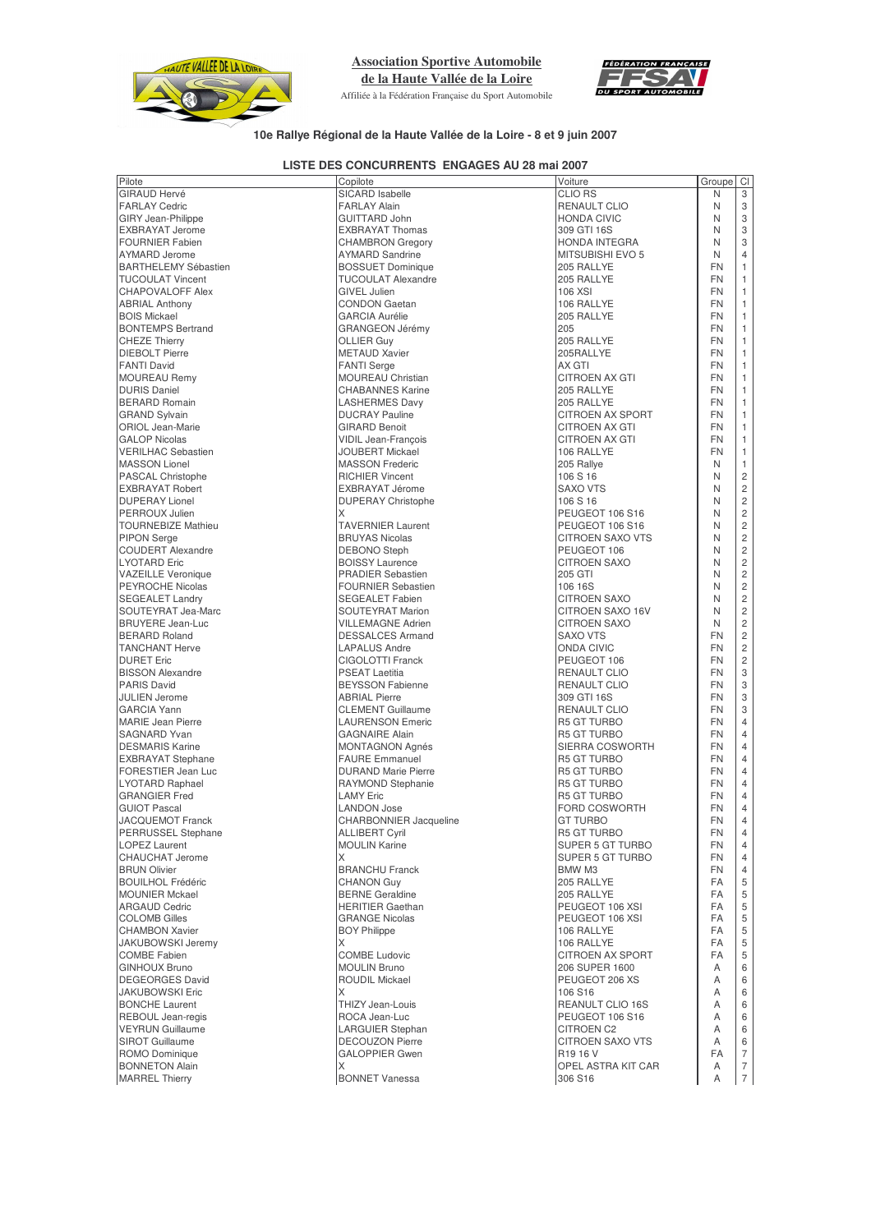

**Association Sportive Automobile**

**de la Haute Vallée de la Loire** Affiliée à la Fédération Française du Sport Automobile



## **10e Rallye Régional de la Haute Vallée de la Loire - 8 et 9 juin 2007**

## **LISTE DES CONCURRENTS ENGAGES AU 28 mai 2007**

| Pilote                      |                               | Voiture                 | Groupe    |                      |
|-----------------------------|-------------------------------|-------------------------|-----------|----------------------|
| <b>GIRAUD Hervé</b>         | Copilote<br>SICARD Isabelle   |                         | N         | CI<br>$\overline{3}$ |
|                             |                               | <b>CLIO RS</b>          |           |                      |
| <b>FARLAY Cedric</b>        | <b>FARLAY Alain</b>           | RENAULT CLIO            | N         | 3                    |
| <b>GIRY Jean-Philippe</b>   | <b>GUITTARD John</b>          | <b>HONDA CIVIC</b>      | N         | 3                    |
| <b>EXBRAYAT Jerome</b>      | <b>EXBRAYAT Thomas</b>        | 309 GTI 16S             | N         | 3                    |
| <b>FOURNIER Fabien</b>      | <b>CHAMBRON Gregory</b>       | <b>HONDA INTEGRA</b>    | N         | 3                    |
| <b>AYMARD</b> Jerome        | <b>AYMARD Sandrine</b>        | <b>MITSUBISHI EVO 5</b> | N         | $\overline{4}$       |
| <b>BARTHELEMY Sébastien</b> | <b>BOSSUET Dominique</b>      | 205 RALLYE              | <b>FN</b> | $\mathbf{1}$         |
|                             |                               |                         |           |                      |
| <b>TUCOULAT Vincent</b>     | <b>TUCOULAT Alexandre</b>     | 205 RALLYE              | <b>FN</b> | $\mathbf{1}$         |
| <b>CHAPOVALOFF Alex</b>     | <b>GIVEL Julien</b>           | 106 XSI                 | <b>FN</b> | $\mathbf{1}$         |
| <b>ABRIAL Anthony</b>       | <b>CONDON Gaetan</b>          | 106 RALLYE              | <b>FN</b> | $\mathbf{1}$         |
| <b>BOIS Mickael</b>         | <b>GARCIA Aurélie</b>         | 205 RALLYE              | <b>FN</b> | $\mathbf{1}$         |
| <b>BONTEMPS Bertrand</b>    | GRANGEON Jérémy               | 205                     | <b>FN</b> | $\mathbf{1}$         |
| <b>CHEZE Thierry</b>        | <b>OLLIER Guy</b>             | 205 RALLYE              | <b>FN</b> | $\mathbf{1}$         |
| <b>DIEBOLT Pierre</b>       | <b>METAUD Xavier</b>          | 205RALLYE               | <b>FN</b> | $\mathbf{1}$         |
|                             | <b>FANTI Serge</b>            | AX GTI                  | <b>FN</b> | $\mathbf{1}$         |
| <b>FANTI David</b>          |                               |                         |           |                      |
| <b>MOUREAU Remy</b>         | <b>MOUREAU Christian</b>      | <b>CITROEN AX GTI</b>   | <b>FN</b> | $\mathbf{1}$         |
| <b>DURIS Daniel</b>         | <b>CHABANNES Karine</b>       | 205 RALLYE              | <b>FN</b> | $\mathbf{1}$         |
| <b>BERARD Romain</b>        | <b>LASHERMES Davy</b>         | 205 RALLYE              | <b>FN</b> | $\mathbf{1}$         |
| <b>GRAND Sylvain</b>        | <b>DUCRAY Pauline</b>         | <b>CITROEN AX SPORT</b> | <b>FN</b> | $\mathbf{1}$         |
| <b>ORIOL Jean-Marie</b>     | <b>GIRARD Benoit</b>          | CITROEN AX GTI          | <b>FN</b> | $\mathbf{1}$         |
| <b>GALOP Nicolas</b>        | <b>VIDIL Jean-Francois</b>    | <b>CITROEN AX GTI</b>   | <b>FN</b> | $\mathbf{1}$         |
| <b>VERILHAC Sebastien</b>   | <b>JOUBERT Mickael</b>        |                         | <b>FN</b> | $\mathbf{1}$         |
|                             |                               | 106 RALLYE              |           |                      |
| <b>MASSON Lionel</b>        | <b>MASSON Frederic</b>        | 205 Rallye              | N         | $\mathbf{1}$         |
| PASCAL Christophe           | <b>RICHIER Vincent</b>        | 106 S 16                | N         | $\overline{c}$       |
| <b>EXBRAYAT Robert</b>      | EXBRAYAT Jérome               | <b>SAXO VTS</b>         | N         | $\overline{c}$       |
| <b>DUPERAY Lionel</b>       | <b>DUPERAY Christophe</b>     | 106 S 16                | N         | $\overline{c}$       |
| PERROUX Julien              | X                             | PEUGEOT 106 S16         | N         | $\overline{c}$       |
| <b>TOURNEBIZE Mathieu</b>   | <b>TAVERNIER Laurent</b>      | PEUGEOT 106 S16         | N         | $\overline{2}$       |
|                             |                               |                         | N         | $\overline{c}$       |
| <b>PIPON Serge</b>          | <b>BRUYAS Nicolas</b>         | <b>CITROEN SAXO VTS</b> |           |                      |
| <b>COUDERT Alexandre</b>    | <b>DEBONO</b> Steph           | PEUGEOT 106             | N         | $\overline{c}$       |
| <b>LYOTARD Eric</b>         | <b>BOISSY Laurence</b>        | <b>CITROEN SAXO</b>     | N         | $\overline{c}$       |
| <b>VAZEILLE Veronique</b>   | <b>PRADIER Sebastien</b>      | 205 GTI                 | N         | $\overline{c}$       |
| <b>PEYROCHE Nicolas</b>     | <b>FOURNIER Sebastien</b>     | 106 16S                 | N         | $\overline{c}$       |
| <b>SEGEALET Landry</b>      | <b>SEGEALET Fabien</b>        | <b>CITROEN SAXO</b>     | N         | $\overline{c}$       |
| SOUTEYRAT Jea-Marc          | <b>SOUTEYRAT Marion</b>       | CITROEN SAXO 16V        | N         | $\overline{c}$       |
| <b>BRUYERE Jean-Luc</b>     | <b>VILLEMAGNE Adrien</b>      |                         | N         | $\overline{c}$       |
|                             |                               | <b>CITROEN SAXO</b>     |           |                      |
| <b>BERARD Roland</b>        | <b>DESSALCES Armand</b>       | <b>SAXO VTS</b>         | <b>FN</b> | $\overline{c}$       |
| <b>TANCHANT Herve</b>       | <b>LAPALUS Andre</b>          | ONDA CIVIC              | <b>FN</b> | $\overline{c}$       |
| <b>DURET Eric</b>           | CIGOLOTTI Franck              | PEUGEOT 106             | <b>FN</b> | $\overline{c}$       |
| <b>BISSON Alexandre</b>     | <b>PSEAT Laetitia</b>         | <b>RENAULT CLIO</b>     | <b>FN</b> | 3                    |
| <b>PARIS David</b>          | <b>BEYSSON Fabienne</b>       | <b>RENAULT CLIO</b>     | <b>FN</b> | 3                    |
| <b>JULIEN Jerome</b>        | <b>ABRIAL Pierre</b>          | 309 GTI 16S             | <b>FN</b> | 3                    |
| <b>GARCIA Yann</b>          | <b>CLEMENT Guillaume</b>      | <b>RENAULT CLIO</b>     | <b>FN</b> | 3                    |
|                             |                               |                         |           |                      |
| <b>MARIE Jean Pierre</b>    | <b>LAURENSON Emeric</b>       | <b>R5 GT TURBO</b>      | <b>FN</b> | $\overline{4}$       |
| <b>SAGNARD Yvan</b>         | <b>GAGNAIRE Alain</b>         | R5 GT TURBO             | <b>FN</b> | $\overline{4}$       |
| <b>DESMARIS Karine</b>      | <b>MONTAGNON Agnés</b>        | SIERRA COSWORTH         | <b>FN</b> | $\overline{4}$       |
| <b>EXBRAYAT Stephane</b>    | <b>FAURE Emmanuel</b>         | <b>R5 GT TURBO</b>      | <b>FN</b> | $\overline{4}$       |
| <b>FORESTIER Jean Luc</b>   | <b>DURAND Marie Pierre</b>    | <b>R5 GT TURBO</b>      | <b>FN</b> | $\overline{4}$       |
| <b>LYOTARD Raphael</b>      | RAYMOND Stephanie             | <b>R5 GT TURBO</b>      | <b>FN</b> | $\overline{4}$       |
| <b>GRANGIER Fred</b>        | <b>LAMY Eric</b>              | <b>R5 GT TURBO</b>      | <b>FN</b> | $\overline{4}$       |
|                             |                               |                         |           |                      |
| <b>GUIOT Pascal</b>         | <b>LANDON Jose</b>            | FORD COSWORTH           | <b>FN</b> | $\overline{4}$       |
| <b>JACQUEMOT Franck</b>     | <b>CHARBONNIER Jacqueline</b> | <b>GT TURBO</b>         | <b>FN</b> | $\overline{4}$       |
| PERRUSSEL Stephane          | <b>ALLIBERT Cyril</b>         | R5 GT TURBO             | <b>FN</b> | 4                    |
| <b>LOPEZ Laurent</b>        | <b>MOULIN Karine</b>          | SUPER 5 GT TURBO        | FN        | $\overline{4}$       |
| <b>CHAUCHAT Jerome</b>      | X                             | <b>SUPER 5 GT TURBO</b> | <b>FN</b> | $\overline{4}$       |
| <b>BRUN Olivier</b>         | <b>BRANCHU Franck</b>         | BMW M3                  | FN        | $\overline{4}$       |
| <b>BOUILHOL Frédéric</b>    | <b>CHANON Guy</b>             | 205 RALLYE              | FA        | 5                    |
| <b>MOUNIER Mckael</b>       | <b>BERNE</b> Geraldine        | 205 RALLYE              | FA        | 5                    |
|                             |                               |                         |           |                      |
| <b>ARGAUD Cedric</b>        | <b>HERITIER Gaethan</b>       | PEUGEOT 106 XSI         | FA        | 5                    |
| <b>COLOMB Gilles</b>        | <b>GRANGE Nicolas</b>         | PEUGEOT 106 XSI         | FA        | 5                    |
| <b>CHAMBON Xavier</b>       | <b>BOY Philippe</b>           | 106 RALLYE              | FA        | 5                    |
| JAKUBOWSKI Jeremy           | X                             | 106 RALLYE              | FA        | 5                    |
| <b>COMBE Fabien</b>         | <b>COMBE Ludovic</b>          | CITROEN AX SPORT        | FA        | 5                    |
| <b>GINHOUX Bruno</b>        | <b>MOULIN Bruno</b>           | 206 SUPER 1600          | A         | 6                    |
| <b>DEGEORGES David</b>      | <b>ROUDIL Mickael</b>         |                         | A         | 6                    |
|                             |                               | PEUGEOT 206 XS          |           |                      |
| <b>JAKUBOWSKI Eric</b>      | X                             | 106 S16                 | A         | 6                    |
| <b>BONCHE Laurent</b>       | THIZY Jean-Louis              | REANULT CLIO 16S        | A         | 6                    |
| <b>REBOUL Jean-regis</b>    | ROCA Jean-Luc                 | PEUGEOT 106 S16         | A         | 6                    |
| <b>VEYRUN Guillaume</b>     | <b>LARGUIER Stephan</b>       | CITROEN C2              | A         | 6                    |
| <b>SIROT Guillaume</b>      | <b>DECOUZON Pierre</b>        | CITROEN SAXO VTS        | A         | 6                    |
| ROMO Dominique              | <b>GALOPPIER Gwen</b>         | R <sub>19</sub> 16 V    | FA        | $\overline{7}$       |
|                             |                               |                         |           |                      |
| <b>BONNETON Alain</b>       | Χ                             | OPEL ASTRA KIT CAR      | Α         | $\overline{7}$       |
| <b>MARREL Thierry</b>       | <b>BONNET Vanessa</b>         | 306 S16                 | Α         | $\overline{7}$       |